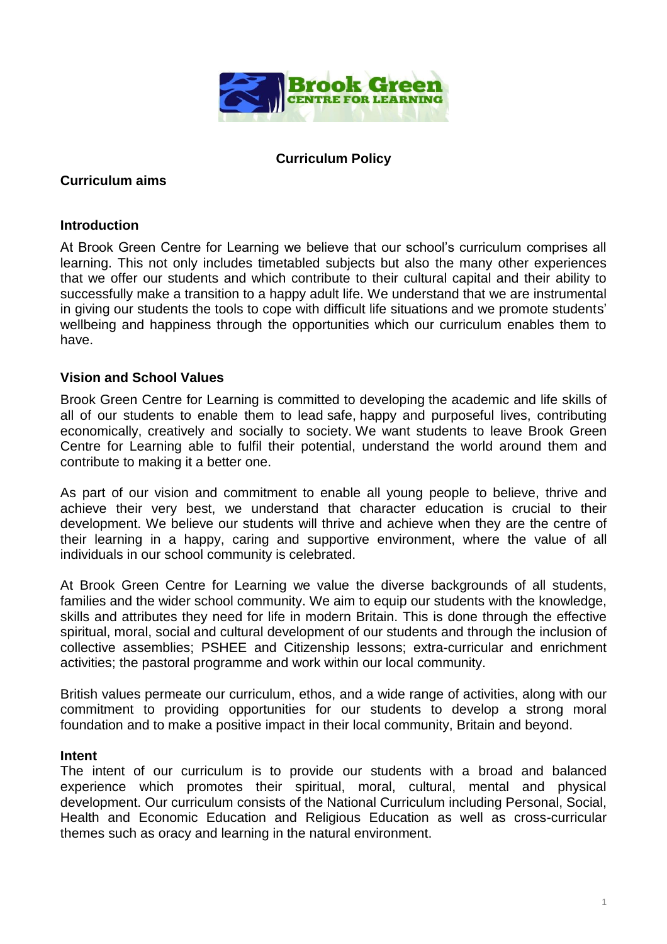

# **Curriculum Policy**

### **Curriculum aims**

#### **Introduction**

At Brook Green Centre for Learning we believe that our school's curriculum comprises all learning. This not only includes timetabled subjects but also the many other experiences that we offer our students and which contribute to their cultural capital and their ability to successfully make a transition to a happy adult life. We understand that we are instrumental in giving our students the tools to cope with difficult life situations and we promote students' wellbeing and happiness through the opportunities which our curriculum enables them to have.

### **Vision and School Values**

Brook Green Centre for Learning is committed to developing the academic and life skills of all of our students to enable them to lead safe, happy and purposeful lives, contributing economically, creatively and socially to society. We want students to leave Brook Green Centre for Learning able to fulfil their potential, understand the world around them and contribute to making it a better one.

As part of our vision and commitment to enable all young people to believe, thrive and achieve their very best, we understand that character education is crucial to their development. We believe our students will thrive and achieve when they are the centre of their learning in a happy, caring and supportive environment, where the value of all individuals in our school community is celebrated.

At Brook Green Centre for Learning we value the diverse backgrounds of all students, families and the wider school community. We aim to equip our students with the knowledge, skills and attributes they need for life in modern Britain. This is done through the effective spiritual, moral, social and cultural development of our students and through the inclusion of collective assemblies; PSHEE and Citizenship lessons; extra-curricular and enrichment activities; the pastoral programme and work within our local community.

British values permeate our curriculum, ethos, and a wide range of activities, along with our commitment to providing opportunities for our students to develop a strong moral foundation and to make a positive impact in their local community, Britain and beyond.

#### **Intent**

The intent of our curriculum is to provide our students with a broad and balanced experience which promotes their spiritual, moral, cultural, mental and physical development. Our curriculum consists of the National Curriculum including Personal, Social, Health and Economic Education and Religious Education as well as cross-curricular themes such as oracy and learning in the natural environment.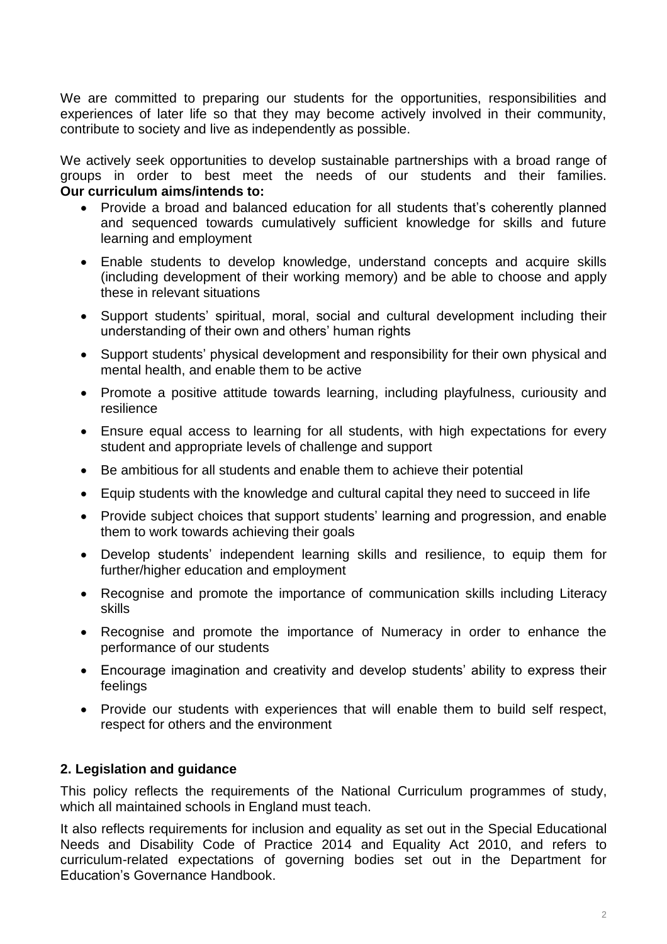We are committed to preparing our students for the opportunities, responsibilities and experiences of later life so that they may become actively involved in their community, contribute to society and live as independently as possible.

We actively seek opportunities to develop sustainable partnerships with a broad range of groups in order to best meet the needs of our students and their families. **Our curriculum aims/intends to:**

- Provide a broad and balanced education for all students that's coherently planned and sequenced towards cumulatively sufficient knowledge for skills and future learning and employment
- Enable students to develop knowledge, understand concepts and acquire skills (including development of their working memory) and be able to choose and apply these in relevant situations
- Support students' spiritual, moral, social and cultural development including their understanding of their own and others' human rights
- Support students' physical development and responsibility for their own physical and mental health, and enable them to be active
- Promote a positive attitude towards learning, including playfulness, curiousity and resilience
- Ensure equal access to learning for all students, with high expectations for every student and appropriate levels of challenge and support
- Be ambitious for all students and enable them to achieve their potential
- Equip students with the knowledge and cultural capital they need to succeed in life
- Provide subject choices that support students' learning and progression, and enable them to work towards achieving their goals
- Develop students' independent learning skills and resilience, to equip them for further/higher education and employment
- Recognise and promote the importance of communication skills including Literacy skills
- Recognise and promote the importance of Numeracy in order to enhance the performance of our students
- Encourage imagination and creativity and develop students' ability to express their feelings
- Provide our students with experiences that will enable them to build self respect, respect for others and the environment

### **2. Legislation and guidance**

This policy reflects the requirements of the [National Curriculum programmes of study,](https://www.gov.uk/government/collections/national-curriculum) which all maintained schools in England must teach.

It also reflects requirements for inclusion and equality as set out in the [Special Educational](https://www.gov.uk/government/publications/send-code-of-practice-0-to-25)  [Needs and Disability Code of Practice 2014](https://www.gov.uk/government/publications/send-code-of-practice-0-to-25) and [Equality Act 2010,](http://www.legislation.gov.uk/ukpga/2010/15/part/6/chapter/1) and refers to curriculum-related expectations of governing bodies set out in the Department for Education's [Governance Handbook.](https://www.gov.uk/government/publications/governance-handbook)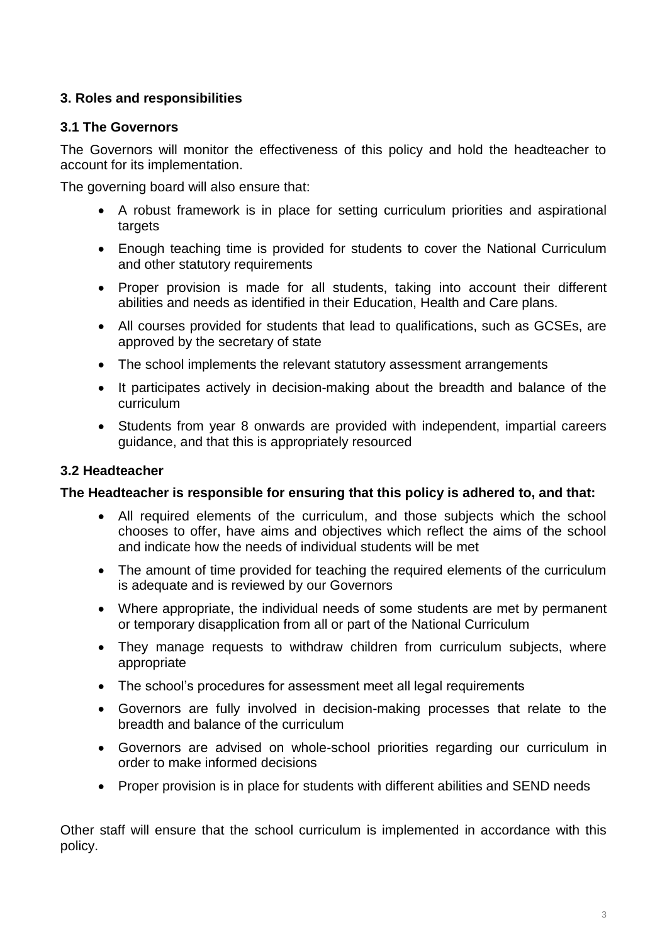# **3. Roles and responsibilities**

# **3.1 The Governors**

The Governors will monitor the effectiveness of this policy and hold the headteacher to account for its implementation.

The governing board will also ensure that:

- A robust framework is in place for setting curriculum priorities and aspirational targets
- Enough teaching time is provided for students to cover the National Curriculum and other statutory requirements
- Proper provision is made for all students, taking into account their different abilities and needs as identified in their Education, Health and Care plans.
- All courses provided for students that lead to qualifications, such as GCSEs, are approved by the secretary of state
- The school implements the relevant statutory assessment arrangements
- It participates actively in decision-making about the breadth and balance of the curriculum
- Students from year 8 onwards are provided with independent, impartial careers guidance, and that this is appropriately resourced

# **3.2 Headteacher**

### **The Headteacher is responsible for ensuring that this policy is adhered to, and that:**

- All required elements of the curriculum, and those subjects which the school chooses to offer, have aims and objectives which reflect the aims of the school and indicate how the needs of individual students will be met
- The amount of time provided for teaching the required elements of the curriculum is adequate and is reviewed by our Governors
- Where appropriate, the individual needs of some students are met by permanent or temporary disapplication from all or part of the National Curriculum
- They manage requests to withdraw children from curriculum subjects, where appropriate
- The school's procedures for assessment meet all legal requirements
- Governors are fully involved in decision-making processes that relate to the breadth and balance of the curriculum
- Governors are advised on whole-school priorities regarding our curriculum in order to make informed decisions
- Proper provision is in place for students with different abilities and SEND needs

Other staff will ensure that the school curriculum is implemented in accordance with this policy.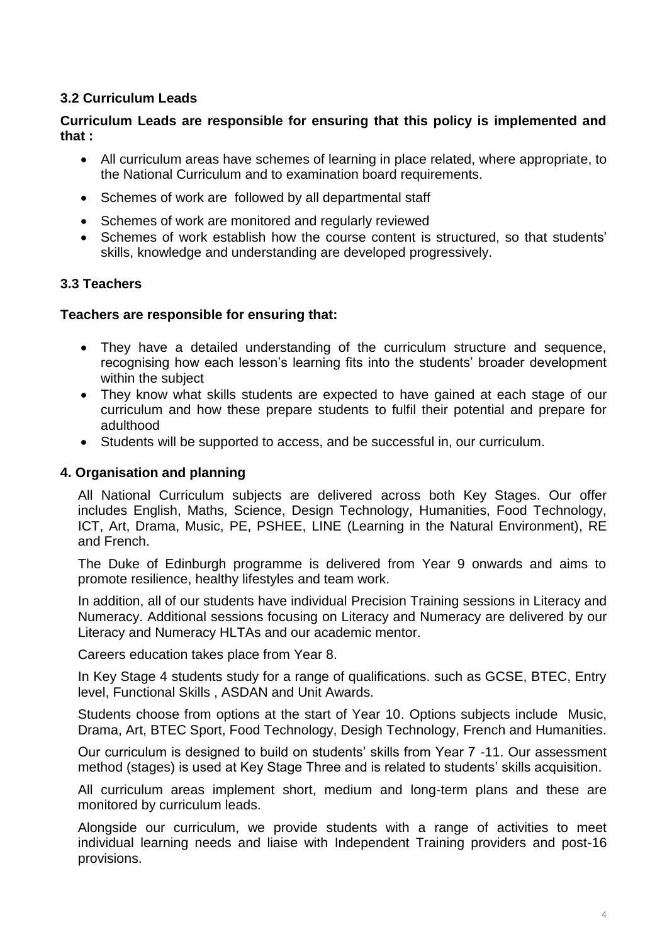# **3.2 Curriculum Leads**

### **Curriculum Leads are responsible for ensuring that this policy is implemented and that :**

- All curriculum areas have schemes of learning in place related, where appropriate, to the National Curriculum and to examination board requirements.
- Schemes of work are followed by all departmental staff
- Schemes of work are monitored and regularly reviewed
- Schemes of work establish how the course content is structured, so that students' skills, knowledge and understanding are developed progressively.

### **3.3 Teachers**

#### **Teachers are responsible for ensuring that:**

- They have a detailed understanding of the curriculum structure and sequence, recognising how each lesson's learning fits into the students' broader development within the subject
- They know what skills students are expected to have gained at each stage of our curriculum and how these prepare students to fulfil their potential and prepare for adulthood
- Students will be supported to access, and be successful in, our curriculum.

#### **4. Organisation and planning**

All National Curriculum subjects are delivered across both Key Stages. Our offer includes English, Maths, Science, Design Technology, Humanities, Food Technology, ICT, Art, Drama, Music, PE, PSHEE, LINE (Learning in the Natural Environment), RE and French.

The Duke of Edinburgh programme is delivered from Year 9 onwards and aims to promote resilience, healthy lifestyles and team work.

In addition, all of our students have individual Precision Training sessions in Literacy and Numeracy. Additional sessions focusing on Literacy and Numeracy are delivered by our Literacy and Numeracy HLTAs and our academic mentor.

Careers education takes place from Year 8.

In Key Stage 4 students study for a range of qualifications. such as GCSE, BTEC, Entry level, Functional Skills , ASDAN and Unit Awards.

Students choose from options at the start of Year 10. Options subjects include Music, Drama, Art, BTEC Sport, Food Technology, Desigh Technology, French and Humanities.

Our curriculum is designed to build on students' skills from Year 7 -11. Our assessment method (stages) is used at Key Stage Three and is related to students' skills acquisition.

All curriculum areas implement short, medium and long-term plans and these are monitored by curriculum leads.

Alongside our curriculum, we provide students with a range of activities to meet individual learning needs and liaise with Independent Training providers and post-16 provisions.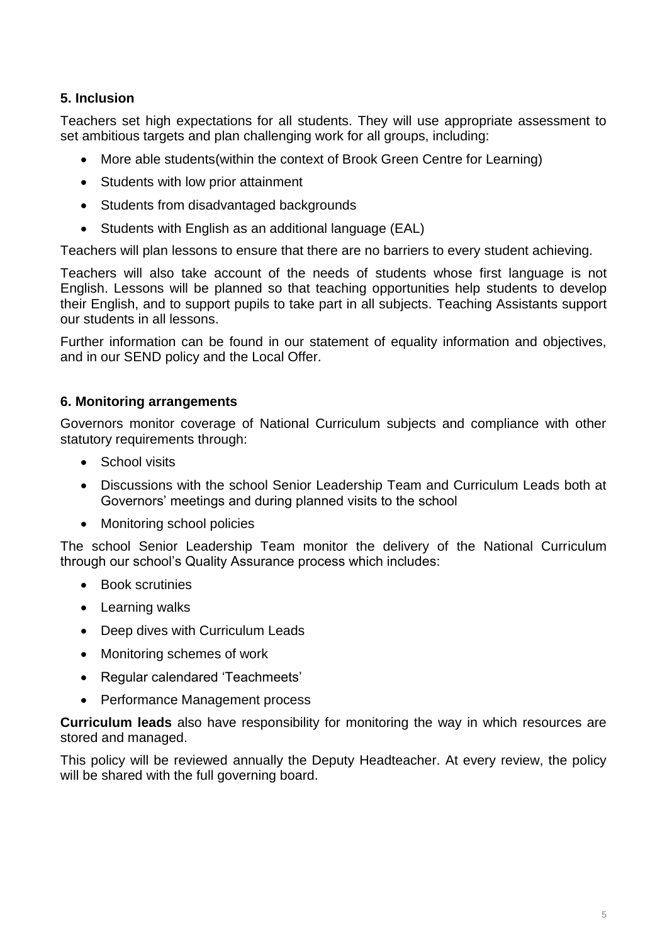# **5. Inclusion**

Teachers set high expectations for all students. They will use appropriate assessment to set ambitious targets and plan challenging work for all groups, including:

- More able students(within the context of Brook Green Centre for Learning)
- Students with low prior attainment
- Students from disadvantaged backgrounds
- Students with English as an additional language (EAL)

Teachers will plan lessons to ensure that there are no barriers to every student achieving.

Teachers will also take account of the needs of students whose first language is not English. Lessons will be planned so that teaching opportunities help students to develop their English, and to support pupils to take part in all subjects. Teaching Assistants support our students in all lessons.

Further information can be found in our statement of equality information and objectives, and in our SEND policy and the Local Offer.

# **6. Monitoring arrangements**

Governors monitor coverage of National Curriculum subjects and compliance with other statutory requirements through:

- School visits
- Discussions with the school Senior Leadership Team and Curriculum Leads both at Governors' meetings and during planned visits to the school
- Monitoring school policies

The school Senior Leadership Team monitor the delivery of the National Curriculum through our school's Quality Assurance process which includes:

- Book scrutinies
- Learning walks
- Deep dives with Curriculum Leads
- Monitoring schemes of work
- Regular calendared 'Teachmeets'
- Performance Management process

**Curriculum leads** also have responsibility for monitoring the way in which resources are stored and managed.

This policy will be reviewed annually the Deputy Headteacher. At every review, the policy will be shared with the full governing board.